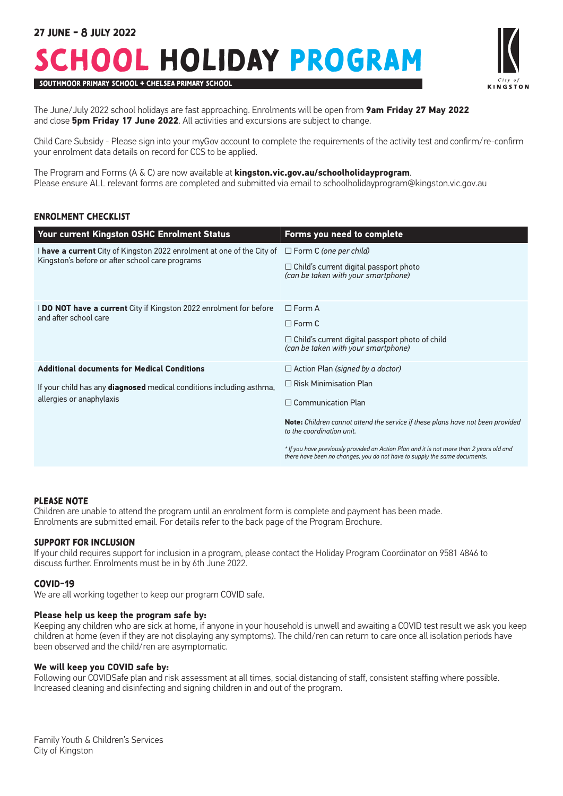# School Holiday Program



SOUTHMOOR PRIMARY SCHOOL + CHELSEA PRIMARY SCHOOL

The June/July 2022 school holidays are fast approaching. Enrolments will be open from **9am Friday 27 May 2022** and close **5pm Friday 17 June 2022**. All activities and excursions are subject to change.

Child Care Subsidy - Please sign into your myGov account to complete the requirements of the activity test and confirm/re-confirm your enrolment data details on record for CCS to be applied.

The Program and Forms (A & C) are now available at **kingston.vic.gov.au/schoolholidayprogram**. Please ensure ALL relevant forms are completed and submitted via email to schoolholidayprogram@kingston.vic.gov.au

# Enrolment Checklist

| <b>Your current Kingston OSHC Enrolment Status</b>                                                                                                            | Forms you need to complete                                                                                                                                                                                                                                                                                                                                                                    |
|---------------------------------------------------------------------------------------------------------------------------------------------------------------|-----------------------------------------------------------------------------------------------------------------------------------------------------------------------------------------------------------------------------------------------------------------------------------------------------------------------------------------------------------------------------------------------|
| I have a current City of Kingston 2022 enrolment at one of the City of<br>Kingston's before or after school care programs                                     | $\Box$ Form C (one per child)<br>$\Box$ Child's current digital passport photo<br>(can be taken with your smartphone)                                                                                                                                                                                                                                                                         |
| <b>I DO NOT have a current</b> City if Kingston 2022 enrolment for before<br>and after school care                                                            | $\Box$ Form A<br>$\Box$ Form C<br>$\Box$ Child's current digital passport photo of child<br>(can be taken with your smartphone)                                                                                                                                                                                                                                                               |
| <b>Additional documents for Medical Conditions</b><br>If your child has any <b>diagnosed</b> medical conditions including asthma,<br>allergies or anaphylaxis | $\Box$ Action Plan (signed by a doctor)<br>$\Box$ Risk Minimisation Plan<br>$\Box$ Communication Plan<br>Note: Children cannot attend the service if these plans have not been provided<br>to the coordination unit.<br>* If you have previously provided an Action Plan and it is not more than 2 years old and<br>there have been no changes, you do not have to supply the same documents. |

# PLEASE NOTE

Children are unable to attend the program until an enrolment form is complete and payment has been made. Enrolments are submitted email. For details refer to the back page of the Program Brochure.

# SUPPORT FOR INCLUSION

If your child requires support for inclusion in a program, please contact the Holiday Program Coordinator on 9581 4846 to discuss further. Enrolments must be in by 6th June 2022.

### COVID-19

We are all working together to keep our program COVID safe.

### **Please help us keep the program safe by:**

Keeping any children who are sick at home, if anyone in your household is unwell and awaiting a COVID test result we ask you keep children at home (even if they are not displaying any symptoms). The child/ren can return to care once all isolation periods have been observed and the child/ren are asymptomatic.

### **We will keep you COVID safe by:**

Following our COVIDSafe plan and risk assessment at all times, social distancing of staff, consistent staffing where possible. Increased cleaning and disinfecting and signing children in and out of the program.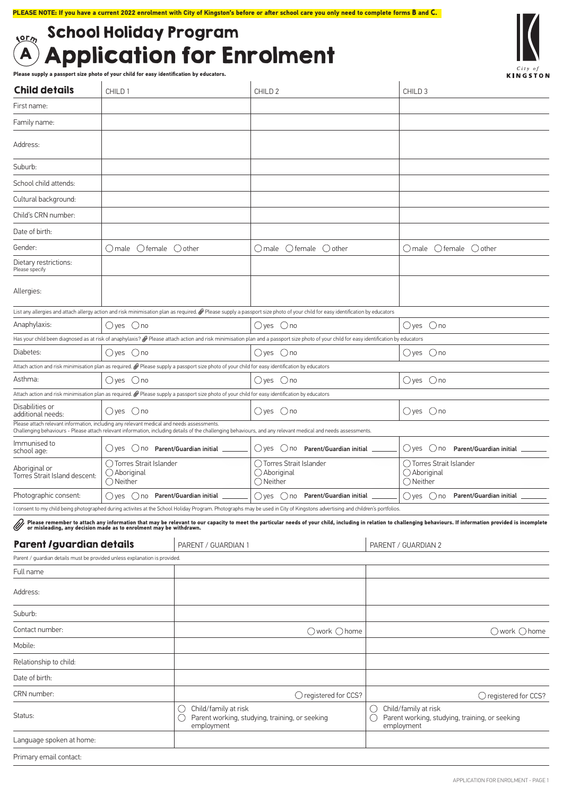# $\mathbf A$  Application for Enrolment  $_{\rm{S2C_2}}$  School Holiday Program

**Please supply a passport size photo of your child for easy identification by educators.** 

| <b>Child details</b>                                                                                                                           | CHILD <sub>1</sub>                                                   |                                                                                           | CHILD <sub>2</sub>                                                                                                                                                                                    |                                                                                           | CHILD <sub>3</sub>                                                                                                                                                                                                                |  |  |
|------------------------------------------------------------------------------------------------------------------------------------------------|----------------------------------------------------------------------|-------------------------------------------------------------------------------------------|-------------------------------------------------------------------------------------------------------------------------------------------------------------------------------------------------------|-------------------------------------------------------------------------------------------|-----------------------------------------------------------------------------------------------------------------------------------------------------------------------------------------------------------------------------------|--|--|
| First name:                                                                                                                                    |                                                                      |                                                                                           |                                                                                                                                                                                                       |                                                                                           |                                                                                                                                                                                                                                   |  |  |
| Family name:                                                                                                                                   |                                                                      |                                                                                           |                                                                                                                                                                                                       |                                                                                           |                                                                                                                                                                                                                                   |  |  |
| Address:                                                                                                                                       |                                                                      |                                                                                           |                                                                                                                                                                                                       |                                                                                           |                                                                                                                                                                                                                                   |  |  |
| Suburb:                                                                                                                                        |                                                                      |                                                                                           |                                                                                                                                                                                                       |                                                                                           |                                                                                                                                                                                                                                   |  |  |
| School child attends:                                                                                                                          |                                                                      |                                                                                           |                                                                                                                                                                                                       |                                                                                           |                                                                                                                                                                                                                                   |  |  |
| Cultural background:                                                                                                                           |                                                                      |                                                                                           |                                                                                                                                                                                                       |                                                                                           |                                                                                                                                                                                                                                   |  |  |
| Child's CRN number:                                                                                                                            |                                                                      |                                                                                           |                                                                                                                                                                                                       |                                                                                           |                                                                                                                                                                                                                                   |  |  |
| Date of birth:                                                                                                                                 |                                                                      |                                                                                           |                                                                                                                                                                                                       |                                                                                           |                                                                                                                                                                                                                                   |  |  |
| Gender:                                                                                                                                        | $O$ male $O$ female $O$ other                                        |                                                                                           | ○male ○female ○other                                                                                                                                                                                  |                                                                                           | $O$ male $O$ female $O$ other                                                                                                                                                                                                     |  |  |
| Dietary restrictions:<br>Please specify                                                                                                        |                                                                      |                                                                                           |                                                                                                                                                                                                       |                                                                                           |                                                                                                                                                                                                                                   |  |  |
| Allergies:                                                                                                                                     |                                                                      |                                                                                           |                                                                                                                                                                                                       |                                                                                           |                                                                                                                                                                                                                                   |  |  |
|                                                                                                                                                |                                                                      |                                                                                           | List any allergies and attach allergy action and risk minimisation plan as required. @ Please supply a passport size photo of your child for easy identification by educators                         |                                                                                           |                                                                                                                                                                                                                                   |  |  |
| Anaphylaxis:                                                                                                                                   | $\bigcirc$ yes $\bigcirc$ no                                         |                                                                                           | $\bigcirc$ yes $\bigcirc$ no                                                                                                                                                                          |                                                                                           | $O$ yes $O$ no                                                                                                                                                                                                                    |  |  |
| Diabetes:                                                                                                                                      | $\bigcirc$ yes $\bigcirc$ no                                         |                                                                                           | Has your child been diagnosed as at risk of anaphylaxis? @ Please attach action and risk minimisation plan and a passport size photo of your child for easy identification by educators<br>()yes ()no |                                                                                           | $\bigcirc$ yes $\bigcirc$ no                                                                                                                                                                                                      |  |  |
| Attach action and risk minimisation plan as required. @ Please supply a passport size photo of your child for easy identification by educators |                                                                      |                                                                                           |                                                                                                                                                                                                       |                                                                                           |                                                                                                                                                                                                                                   |  |  |
| Asthma:                                                                                                                                        | $\bigcirc$ yes $\bigcirc$ no                                         |                                                                                           | $\bigcirc$ yes $\bigcirc$ no                                                                                                                                                                          |                                                                                           | $\bigcirc$ yes $\bigcirc$ no                                                                                                                                                                                                      |  |  |
| Attach action and risk minimisation plan as required. @ Please supply a passport size photo of your child for easy identification by educators |                                                                      |                                                                                           |                                                                                                                                                                                                       |                                                                                           |                                                                                                                                                                                                                                   |  |  |
| Disabilities or<br>additional needs:<br>Please attach relevant information, including any relevant medical and needs assessments.              | $O$ yes $O$ no                                                       |                                                                                           | $O$ yes $O$ no                                                                                                                                                                                        |                                                                                           | $\bigcirc$ yes $\bigcirc$ no                                                                                                                                                                                                      |  |  |
| Immunised to                                                                                                                                   |                                                                      |                                                                                           | Challenging behaviours - Please attach relevant information, including details of the challenging behaviours, and any relevant medical and needs assessments.                                         |                                                                                           |                                                                                                                                                                                                                                   |  |  |
| school age:                                                                                                                                    | $\bigcirc$ yes $\bigcirc$ no Parent/Guardian initial $\qquad \qquad$ |                                                                                           | ○yes ○ no Parent/Guardian initial                                                                                                                                                                     |                                                                                           | ○yes ○ no Parent/Guardian initial                                                                                                                                                                                                 |  |  |
| Aboriginal or<br>Torres Strait Island descent:                                                                                                 | () Torres Strait Islander<br>◯ Aboriginal<br>() Neither              |                                                                                           | ◯ Torres Strait Islander<br>◯ Aboriginal<br>() Neither                                                                                                                                                |                                                                                           | ◯ Torres Strait Islander<br>◯ Aboriginal<br>$\bigcirc$ Neither                                                                                                                                                                    |  |  |
| Photographic consent:                                                                                                                          | ○yes ○ no Parent/Guardian initial <u></u>                            |                                                                                           | $\bigcirc$ yes $\bigcirc$ no Parent/Guardian initial $\Box$                                                                                                                                           |                                                                                           | $\bigcirc$ yes<br>○ no Parent/Guardian initial                                                                                                                                                                                    |  |  |
|                                                                                                                                                |                                                                      |                                                                                           | l consent to my child being photographed during activites at the School Holiday Program. Photographs may be used in City of Kingstons advertising and children's portfolios.                          |                                                                                           |                                                                                                                                                                                                                                   |  |  |
|                                                                                                                                                |                                                                      |                                                                                           |                                                                                                                                                                                                       |                                                                                           | Please remember to attach any information that may be relevant to our capacity to meet the particular needs of your child, including in relation to challenging behaviours. If information provided is incomplete<br>or misleadin |  |  |
| <b>Parent /guardian details</b>                                                                                                                |                                                                      | PARENT / GUARDIAN 1                                                                       |                                                                                                                                                                                                       |                                                                                           | PARENT / GUARDIAN 2                                                                                                                                                                                                               |  |  |
| Parent / quardian details must be provided unless explanation is provided.                                                                     |                                                                      |                                                                                           |                                                                                                                                                                                                       |                                                                                           |                                                                                                                                                                                                                                   |  |  |
| Full name                                                                                                                                      |                                                                      |                                                                                           |                                                                                                                                                                                                       |                                                                                           |                                                                                                                                                                                                                                   |  |  |
| Address:                                                                                                                                       |                                                                      |                                                                                           |                                                                                                                                                                                                       |                                                                                           |                                                                                                                                                                                                                                   |  |  |
| Suburb:                                                                                                                                        |                                                                      |                                                                                           |                                                                                                                                                                                                       |                                                                                           |                                                                                                                                                                                                                                   |  |  |
| Contact number:                                                                                                                                |                                                                      |                                                                                           | $\bigcirc$ work $\bigcirc$ home                                                                                                                                                                       |                                                                                           | $\bigcirc$ work $\bigcirc$ home                                                                                                                                                                                                   |  |  |
| Mobile:                                                                                                                                        |                                                                      |                                                                                           |                                                                                                                                                                                                       |                                                                                           |                                                                                                                                                                                                                                   |  |  |
| Relationship to child:                                                                                                                         |                                                                      |                                                                                           |                                                                                                                                                                                                       |                                                                                           |                                                                                                                                                                                                                                   |  |  |
| Date of birth:                                                                                                                                 |                                                                      |                                                                                           |                                                                                                                                                                                                       |                                                                                           |                                                                                                                                                                                                                                   |  |  |
| CRN number:                                                                                                                                    |                                                                      |                                                                                           | ◯ registered for CCS?                                                                                                                                                                                 |                                                                                           | $\bigcirc$ registered for CCS?                                                                                                                                                                                                    |  |  |
| Status:                                                                                                                                        |                                                                      | Child/family at risk<br>U<br>Parent working, studying, training, or seeking<br>employment |                                                                                                                                                                                                       | Child/family at risk<br>U<br>Parent working, studying, training, or seeking<br>employment |                                                                                                                                                                                                                                   |  |  |
| Language spoken at home:                                                                                                                       |                                                                      |                                                                                           |                                                                                                                                                                                                       |                                                                                           |                                                                                                                                                                                                                                   |  |  |
| Primary email contact:                                                                                                                         |                                                                      |                                                                                           |                                                                                                                                                                                                       |                                                                                           |                                                                                                                                                                                                                                   |  |  |

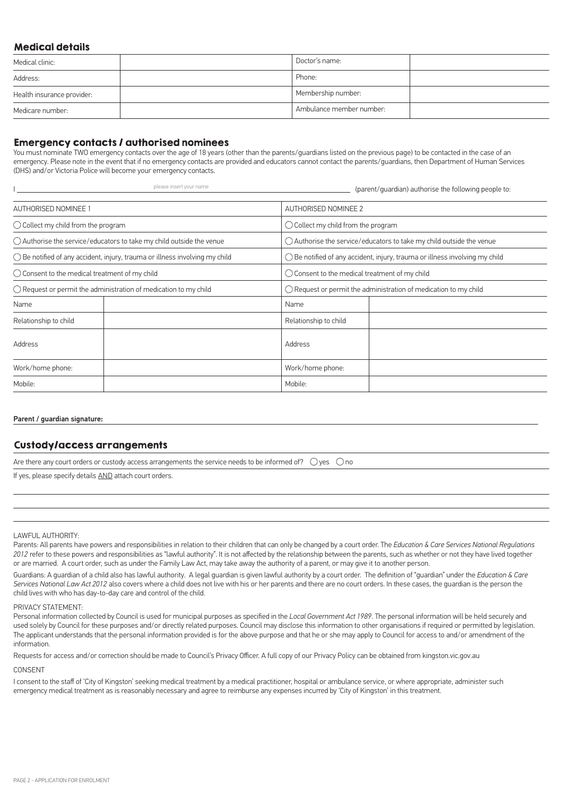# Medical details

| Medical clinic:            | Doctor's name:           |  |
|----------------------------|--------------------------|--|
| Address:                   | Phone:                   |  |
| Health insurance provider: | Membership number:       |  |
| Medicare number:           | Ambulance member number: |  |

### Emergency contacts / authorised nominees

You must nominate TWO emergency contacts over the age of 18 years (other than the parents/guardians listed on the previous page) to be contacted in the case of an emergency. Please note in the event that if no emergency contacts are provided and educators cannot contact the parents/guardians, then Department of Human Services (DHS) and/or Victoria Police will become your emergency contacts.

|                                                                                      | please insert your name | (parent/guardian) authorise the following people to:                                 |  |  |  |  |  |
|--------------------------------------------------------------------------------------|-------------------------|--------------------------------------------------------------------------------------|--|--|--|--|--|
| <b>AUTHORISED NOMINEE 1</b>                                                          |                         | AUTHORISED NOMINEE 2                                                                 |  |  |  |  |  |
| $\bigcirc$ Collect my child from the program                                         |                         | $\bigcirc$ Collect my child from the program                                         |  |  |  |  |  |
| $\bigcirc$ Authorise the service/educators to take my child outside the venue        |                         | $\bigcirc$ Authorise the service/educators to take my child outside the venue        |  |  |  |  |  |
| $\bigcirc$ Be notified of any accident, injury, trauma or illness involving my child |                         | $\bigcirc$ Be notified of any accident, injury, trauma or illness involving my child |  |  |  |  |  |
| $\bigcirc$ Consent to the medical treatment of my child                              |                         | $\bigcirc$ Consent to the medical treatment of my child                              |  |  |  |  |  |
| $\bigcirc$ Request or permit the administration of medication to my child            |                         | $\bigcirc$ Request or permit the administration of medication to my child            |  |  |  |  |  |
| Name                                                                                 |                         | Name                                                                                 |  |  |  |  |  |
| Relationship to child                                                                |                         | Relationship to child                                                                |  |  |  |  |  |
| Address                                                                              |                         | Address                                                                              |  |  |  |  |  |
| Work/home phone:                                                                     |                         | Work/home phone:                                                                     |  |  |  |  |  |
| Mobile:                                                                              |                         | Mobile:                                                                              |  |  |  |  |  |

#### Parent / guardian signature:

# Custody/access arrangements

Are there any court orders or custody access arrangements the service needs to be informed of?  $\bigcirc$  yes  $\bigcirc$  no

If yes, please specify details AND attach court orders.

#### LAWFUL AUTHORITY:

Parents: All parents have powers and responsibilities in relation to their children that can only be changed by a court order. The *Education & Care Services National Regulations 2012* refer to these powers and responsibilities as "lawful authority". It is not affected by the relationship between the parents, such as whether or not they have lived together or are married. A court order, such as under the Family Law Act, may take away the authority of a parent, or may give it to another person.

Guardians: A guardian of a child also has lawful authority. A legal guardian is given lawful authority by a court order. The definition of "guardian" under the *Education & Care Services National Law Act 2012* also covers where a child does not live with his or her parents and there are no court orders. In these cases, the guardian is the person the child lives with who has day-to-day care and control of the child.

#### PRIVACY STATEMENT:

Personal information collected by Council is used for municipal purposes as specified in the *Local Government Act 1989*. The personal information will be held securely and used solely by Council for these purposes and/or directly related purposes. Council may disclose this information to other organisations if required or permitted by legislation. The applicant understands that the personal information provided is for the above purpose and that he or she may apply to Council for access to and/or amendment of the information.

Requests for access and/or correction should be made to Council's Privacy Officer. A full copy of our Privacy Policy can be obtained from kingston.vic.gov.au

#### **CONSENT**

I consent to the staff of 'City of Kingston' seeking medical treatment by a medical practitioner, hospital or ambulance service, or where appropriate, administer such emergency medical treatment as is reasonably necessary and agree to reimburse any expenses incurred by 'City of Kingston' in this treatment.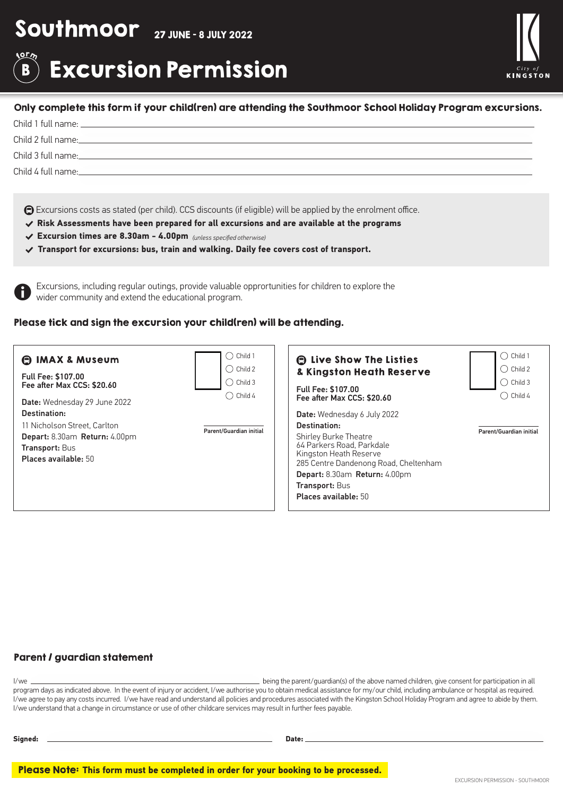# Southmoor 27 JUNE - 8 JULY 2022

### fo<sup>r</sup>m Excursion Permission B



## Only complete this form if your child(ren) are attending the Southmoor School Holiday Program excursions.

Child 1 full name:

Child 2 full name:

Child 3 full name:

Child 4 full name:

Excursions costs as stated (per child). CCS discounts (if eligible) will be applied by the enrolment office.

- % **Risk Assessments have been prepared for all excursions and are available at the programs**
- % **Excursion times are 8.30am 4.00pm** *(unless specified otherwise)*
- % **Transport for excursions: bus, train and walking. Daily fee covers cost of transport.**

Excursions, including regular outings, provide valuable opprortunities for children to explore the wider community and extend the educational program.

# Please tick and sign the excursion your child(ren) will be attending.

| <b>C IMAX &amp; Museum</b><br>Full Fee: \$107.00<br>Fee after Max CCS: \$20.60<br>Date: Wednesday 29 June 2022                 | $\bigcirc$ Child 1<br>$\bigcirc$ Child 2<br>$\bigcirc$ Child 3<br>Child 4<br>$\rightarrow$ | <b>Allenger Control</b> Listies<br>& Kingston Heath Reserve<br><b>Full Fee: \$107.00</b><br>Fee after Max CCS: \$20.60                                                                                                                                               | $\bigcirc$ Child 1<br>Child 2<br>$\rightarrow$<br>$\bigcirc$ Child 3<br>$\bigcirc$ Child 4 |
|--------------------------------------------------------------------------------------------------------------------------------|--------------------------------------------------------------------------------------------|----------------------------------------------------------------------------------------------------------------------------------------------------------------------------------------------------------------------------------------------------------------------|--------------------------------------------------------------------------------------------|
| Destination:<br>11 Nicholson Street, Carlton<br>Depart: 8.30am Return: 4.00pm<br><b>Transport: Bus</b><br>Places available: 50 | Parent/Guardian initial                                                                    | <b>Date:</b> Wednesday 6 July 2022<br>Destination:<br><b>Shirley Burke Theatre</b><br>64 Parkers Road, Parkdale<br>Kingston Heath Reserve<br>285 Centre Dandenong Road, Cheltenham<br>Depart: 8.30am Return: 4.00pm<br><b>Transport: Bus</b><br>Places available: 50 | Parent/Guardian initial                                                                    |

# Parent / guardian statement

I/we being the parent/guardian(s) of the above named children, give consent for participation in all program days as indicated above. In the event of injury or accident, I/we authorise you to obtain medical assistance for my/our child, including ambulance or hospital as required. I/we agree to pay any costs incurred. I/we have read and understand all policies and procedures associated with the Kingston School Holiday Program and agree to abide by them. I/we understand that a change in circumstance or use of other childcare services may result in further fees payable.

| Signed: | Date: |
|---------|-------|
|         |       |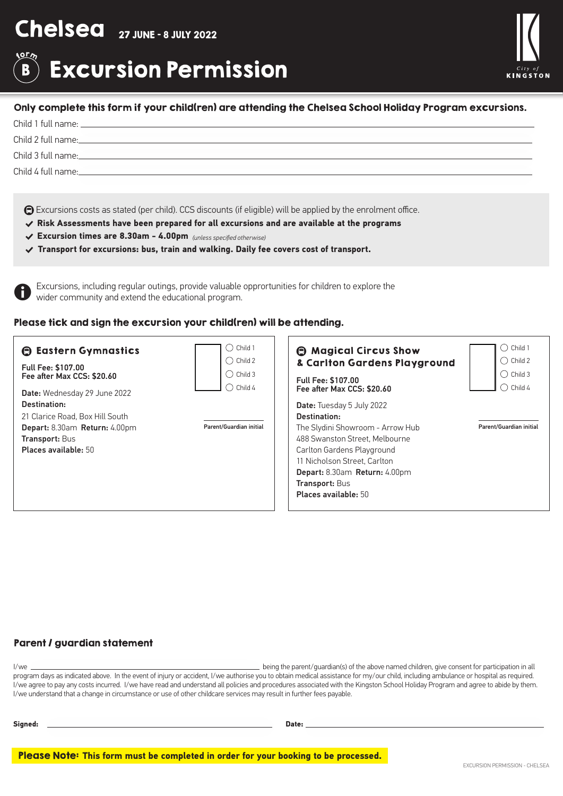# Chelsea 27 JUNE - 8 JULY 2022

### fo<sup>r</sup>m Excursion Permission B



# Only complete this form if your child(ren) are attending the Chelsea School Holiday Program excursions.

Child 1 full name:

Child 2 full name:

Child 3 full name:

Child 4 full name:

Excursions costs as stated (per child). CCS discounts (if eligible) will be applied by the enrolment office.

- % **Risk Assessments have been prepared for all excursions and are available at the programs**
- % **Excursion times are 8.30am 4.00pm** *(unless specified otherwise)*
- % **Transport for excursions: bus, train and walking. Daily fee covers cost of transport.**

Excursions, including regular outings, provide valuable opprortunities for children to explore the wider community and extend the educational program.

# Please tick and sign the excursion your child(ren) will be attending.

| <b>B</b> Eastern Gymnastics<br>Full Fee: \$107.00<br>Fee after Max CCS: \$20.60<br>Date: Wednesday 29 June 2022<br>Destination:<br>21 Clarice Road, Box Hill South | Child 1<br>$\rightarrow$<br>$\bigcirc$ Child 2<br>◯ Child 3<br>Child 4 | <b>A</b> Magical Circus Show<br>& Carlton Gardens Playground<br><b>Full Fee: \$107.00</b><br>Fee after Max CCS: \$20.60<br><b>Date:</b> Tuesday 5 July 2022<br>Destination:                                               | Child 1<br>$\rightarrow$<br>$\bigcirc$ Child 2<br>Child 3<br>Child 4 |
|--------------------------------------------------------------------------------------------------------------------------------------------------------------------|------------------------------------------------------------------------|---------------------------------------------------------------------------------------------------------------------------------------------------------------------------------------------------------------------------|----------------------------------------------------------------------|
| Depart: 8.30am Return: 4.00pm<br><b>Transport: Bus</b><br><b>Places available: 50</b>                                                                              | Parent/Guardian initial                                                | The Slydini Showroom - Arrow Hub<br>488 Swanston Street. Melbourne<br>Carlton Gardens Playground<br>11 Nicholson Street. Carlton<br>Depart: 8.30am Return: 4.00pm<br><b>Transport: Bus</b><br><b>Places available: 50</b> | Parent/Guardian initial                                              |

# Parent / guardian statement

I/we being the parent/guardian(s) of the above named children, give consent for participation in all program days as indicated above. In the event of injury or accident, I/we authorise you to obtain medical assistance for my/our child, including ambulance or hospital as required. I/we agree to pay any costs incurred. I/we have read and understand all policies and procedures associated with the Kingston School Holiday Program and agree to abide by them. I/we understand that a change in circumstance or use of other childcare services may result in further fees payable.

**Signed: Date:**